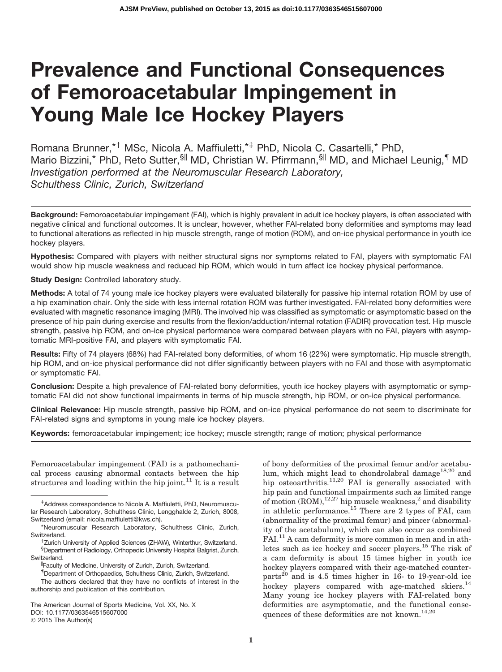# Prevalence and Functional Consequences of Femoroacetabular Impingement in Young Male Ice Hockey Players

Romana Brunner, \*<sup>†</sup> MSc, Nicola A. Maffiuletti, \*<sup>‡</sup> PhD, Nicola C. Casartelli, \* PhD, Mario Bizzini,\* PhD, Reto Sutter, SII MD, Christian W. Pfirrmann, SII MD, and Michael Leunig, II MD *Investigation performed at the Neuromuscular Research Laboratory, Schulthess Clinic, Zurich, Switzerland*

Background: Femoroacetabular impingement (FAI), which is highly prevalent in adult ice hockey players, is often associated with negative clinical and functional outcomes. It is unclear, however, whether FAI-related bony deformities and symptoms may lead to functional alterations as reflected in hip muscle strength, range of motion (ROM), and on-ice physical performance in youth ice hockey players.

Hypothesis: Compared with players with neither structural signs nor symptoms related to FAI, players with symptomatic FAI would show hip muscle weakness and reduced hip ROM, which would in turn affect ice hockey physical performance.

Study Design: Controlled laboratory study.

Methods: A total of 74 young male ice hockey players were evaluated bilaterally for passive hip internal rotation ROM by use of a hip examination chair. Only the side with less internal rotation ROM was further investigated. FAI-related bony deformities were evaluated with magnetic resonance imaging (MRI). The involved hip was classified as symptomatic or asymptomatic based on the presence of hip pain during exercise and results from the flexion/adduction/internal rotation (FADIR) provocation test. Hip muscle strength, passive hip ROM, and on-ice physical performance were compared between players with no FAI, players with asymptomatic MRI-positive FAI, and players with symptomatic FAI.

Results: Fifty of 74 players (68%) had FAI-related bony deformities, of whom 16 (22%) were symptomatic. Hip muscle strength, hip ROM, and on-ice physical performance did not differ significantly between players with no FAI and those with asymptomatic or symptomatic FAI.

Conclusion: Despite a high prevalence of FAI-related bony deformities, youth ice hockey players with asymptomatic or symptomatic FAI did not show functional impairments in terms of hip muscle strength, hip ROM, or on-ice physical performance.

Clinical Relevance: Hip muscle strength, passive hip ROM, and on-ice physical performance do not seem to discriminate for FAI-related signs and symptoms in young male ice hockey players.

Keywords: femoroacetabular impingement; ice hockey; muscle strength; range of motion; physical performance

Femoroacetabular impingement (FAI) is a pathomechanical process causing abnormal contacts between the hip structures and loading within the hip joint.<sup>11</sup> It is a result of bony deformities of the proximal femur and/or acetabulum, which might lead to chondrolabral damage<sup>18,20</sup> and hip osteoarthritis.<sup>11,20</sup> FAI is generally associated with hip pain and functional impairments such as limited range of motion  $(ROM)$ ,<sup>12,27</sup> hip muscle weakness,<sup>2</sup> and disability in athletic performance.<sup>15</sup> There are 2 types of FAI, cam (abnormality of the proximal femur) and pincer (abnormality of the acetabulum), which can also occur as combined FAI.<sup>11</sup> A cam deformity is more common in men and in athletes such as ice hockey and soccer players.<sup>15</sup> The risk of a cam deformity is about 15 times higher in youth ice hockey players compared with their age-matched counterparts $^{20}$  and is 4.5 times higher in 16- to 19-year-old ice hockey players compared with age-matched skiers.<sup>14</sup> Many young ice hockey players with FAI-related bony deformities are asymptomatic, and the functional consequences of these deformities are not known.<sup>14,20</sup>

z Address correspondence to Nicola A. Maffiuletti, PhD, Neuromuscular Research Laboratory, Schulthess Clinic, Lengghalde 2, Zurich, 8008, Switzerland (email: nicola.maffiuletti@kws.ch).

<sup>\*</sup>Neuromuscular Research Laboratory, Schulthess Clinic, Zurich, Switzerland.

<sup>&</sup>lt;sup>†</sup>Zurich University of Applied Sciences (ZHAW), Winterthur, Switzerland. § Department of Radiology, Orthopedic University Hospital Balgrist, Zurich, Switzerland.

<sup>||</sup>Faculty of Medicine, University of Zurich, Zurich, Switzerland.

<sup>{</sup> Department of Orthopaedics, Schulthess Clinic, Zurich, Switzerland. The authors declared that they have no conflicts of interest in the authorship and publication of this contribution.

The American Journal of Sports Medicine, Vol. XX, No. X DOI: 10.1177/0363546515607000 © 2015 The Author(s)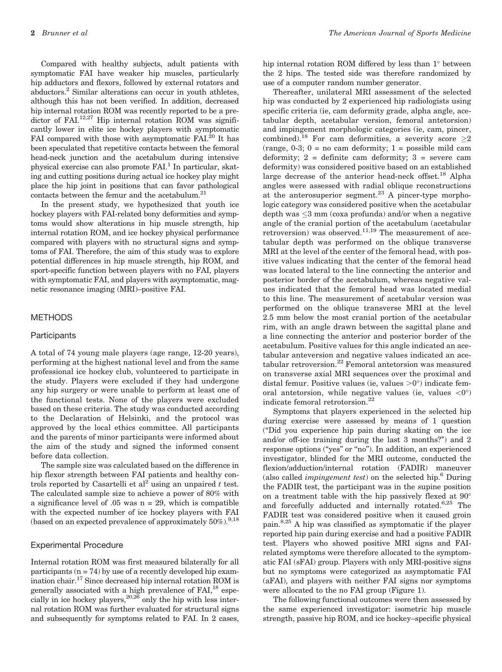Compared with healthy subjects, adult patients with symptomatic FAI have weaker hip muscles, particularly hip adductors and flexors, followed by external rotators and abductors.2 Similar alterations can occur in youth athletes, although this has not been verified. In addition, decreased hip internal rotation ROM was recently reported to be a predictor of FAI.<sup>12,27</sup> Hip internal rotation ROM was significantly lower in elite ice hockey players with symptomatic FAI compared with those with asymptomatic FAI.<sup>20</sup> It has been speculated that repetitive contacts between the femoral head-neck junction and the acetabulum during intensive physical exercise can also promote  $FAI<sup>1</sup>$  In particular, skating and cutting positions during actual ice hockey play might place the hip joint in positions that can favor pathological contacts between the femur and the acetabulum.<sup>21</sup>

In the present study, we hypothesized that youth ice hockey players with FAI-related bony deformities and symptoms would show alterations in hip muscle strength, hip internal rotation ROM, and ice hockey physical performance compared with players with no structural signs and symptoms of FAI. Therefore, the aim of this study was to explore potential differences in hip muscle strength, hip ROM, and sport-specific function between players with no FAI, players with symptomatic FAI, and players with asymptomatic, magnetic resonance imaging (MRI)–positive FAI.

#### METHODS

#### **Participants**

A total of 74 young male players (age range, 12-20 years), performing at the highest national level and from the same professional ice hockey club, volunteered to participate in the study. Players were excluded if they had undergone any hip surgery or were unable to perform at least one of the functional tests. None of the players were excluded based on these criteria. The study was conducted according to the Declaration of Helsinki, and the protocol was approved by the local ethics committee. All participants and the parents of minor participants were informed about the aim of the study and signed the informed consent before data collection.

The sample size was calculated based on the difference in hip flexor strength between FAI patients and healthy controls reported by Casartelli et al<sup>2</sup> using an unpaired  $t$  test. The calculated sample size to achieve a power of 80% with a significance level of  $.05$  was  $n = 29$ , which is compatible with the expected number of ice hockey players with FAI (based on an expected prevalence of approximately  $50\%$ ).<sup>9,18</sup>

#### Experimental Procedure

Internal rotation ROM was first measured bilaterally for all participants  $(n = 74)$  by use of a recently developed hip examination chair.17 Since decreased hip internal rotation ROM is generally associated with a high prevalence of  $FAI<sub>1</sub><sup>18</sup>$  especially in ice hockey players,  $20,26$  only the hip with less internal rotation ROM was further evaluated for structural signs and subsequently for symptoms related to FAI. In 2 cases, hip internal rotation ROM differed by less than  $1^{\circ}$  between the 2 hips. The tested side was therefore randomized by use of a computer random number generator.

Thereafter, unilateral MRI assessment of the selected hip was conducted by 2 experienced hip radiologists using specific criteria (ie, cam deformity grade, alpha angle, acetabular depth, acetabular version, femoral antetorsion) and impingement morphologic categories (ie, cam, pincer, combined).<sup>18</sup> For cam deformities, a severity score  $\geq 2$  $(range, 0-3; 0 = no cam deformity; 1 = possible mild cam$ deformity;  $2 =$  definite cam deformity;  $3 =$  severe cam deformity) was considered positive based on an established large decrease of the anterior head-neck offset.<sup>18</sup> Alpha angles were assessed with radial oblique reconstructions at the anterosuperior segment.<sup>23</sup> A pincer-type morphologic category was considered positive when the acetabular depth was  $\leq$ 3 mm (coxa profunda) and/or when a negative angle of the cranial portion of the acetabulum (acetabular retroversion) was observed.<sup>11,19</sup> The measurement of acetabular depth was performed on the oblique transverse MRI at the level of the center of the femoral head, with positive values indicating that the center of the femoral head was located lateral to the line connecting the anterior and posterior border of the acetabulum, whereas negative values indicated that the femoral head was located medial to this line. The measurement of acetabular version was performed on the oblique transverse MRI at the level 2.5 mm below the most cranial portion of the acetabular rim, with an angle drawn between the sagittal plane and a line connecting the anterior and posterior border of the acetabulum. Positive values for this angle indicated an acetabular anteversion and negative values indicated an acetabular retroversion.<sup>22</sup> Femoral antetorsion was measured on transverse axial MRI sequences over the proximal and distal femur. Positive values (ie, values  $>0^{\circ}$ ) indicate femoral antetorsion, while negative values (ie, values  $\langle 0^{\circ} \rangle$ ) indicate femoral retrotorsion.<sup>22</sup>

Symptoms that players experienced in the selected hip during exercise were assessed by means of 1 question (''Did you experience hip pain during skating on the ice and/or off-ice training during the last 3 months?'') and 2 response options (''yes'' or ''no''). In addition, an experienced investigator, blinded for the MRI outcome, conducted the flexion/adduction/internal rotation (FADIR) maneuver (also called *impingement test*) on the selected hip.<sup>6</sup> During the FADIR test, the participant was in the supine position on a treatment table with the hip passively flexed at 90 and forcefully adducted and internally rotated.<sup>6,25</sup> The FADIR test was considered positive when it caused groin pain.8,25 A hip was classified as symptomatic if the player reported hip pain during exercise and had a positive FADIR test. Players who showed positive MRI signs and FAIrelated symptoms were therefore allocated to the symptomatic FAI (sFAI) group. Players with only MRI-positive signs but no symptoms were categorized as asymptomatic FAI (aFAI), and players with neither FAI signs nor symptoms were allocated to the no FAI group (Figure 1).

The following functional outcomes were then assessed by the same experienced investigator: isometric hip muscle strength, passive hip ROM, and ice hockey–specific physical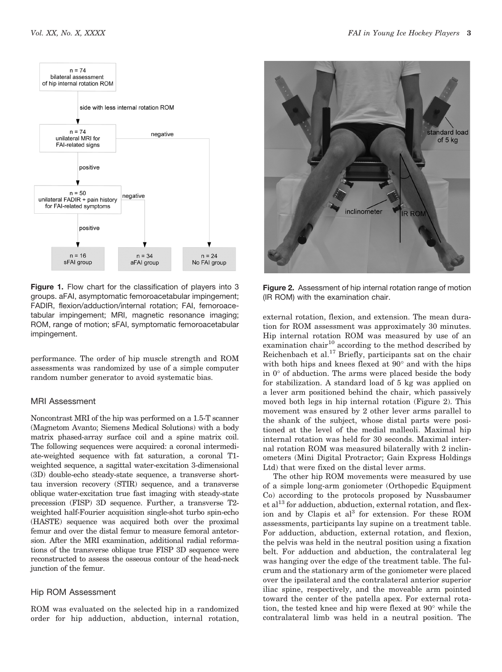

Figure 1. Flow chart for the classification of players into 3 groups. aFAI, asymptomatic femoroacetabular impingement; FADIR, flexion/adduction/internal rotation; FAI, femoroacetabular impingement; MRI, magnetic resonance imaging; ROM, range of motion; sFAI, symptomatic femoroacetabular impingement.

performance. The order of hip muscle strength and ROM assessments was randomized by use of a simple computer random number generator to avoid systematic bias.

#### MRI Assessment

Noncontrast MRI of the hip was performed on a 1.5-T scanner (Magnetom Avanto; Siemens Medical Solutions) with a body matrix phased-array surface coil and a spine matrix coil. The following sequences were acquired: a coronal intermediate-weighted sequence with fat saturation, a coronal T1 weighted sequence, a sagittal water-excitation 3-dimensional (3D) double-echo steady-state sequence, a transverse shorttau inversion recovery (STIR) sequence, and a transverse oblique water-excitation true fast imaging with steady-state precession (FISP) 3D sequence. Further, a transverse T2 weighted half-Fourier acquisition single-shot turbo spin-echo (HASTE) sequence was acquired both over the proximal femur and over the distal femur to measure femoral antetorsion. After the MRI examination, additional radial reformations of the transverse oblique true FISP 3D sequence were reconstructed to assess the osseous contour of the head-neck junction of the femur.

# Hip ROM Assessment

ROM was evaluated on the selected hip in a randomized order for hip adduction, abduction, internal rotation,



Figure 2. Assessment of hip internal rotation range of motion (IR ROM) with the examination chair.

external rotation, flexion, and extension. The mean duration for ROM assessment was approximately 30 minutes. Hip internal rotation ROM was measured by use of an examination chair<sup>10</sup> according to the method described by Reichenbach et al.<sup>17</sup> Briefly, participants sat on the chair with both hips and knees flexed at  $90^{\circ}$  and with the hips in  $0^{\circ}$  of abduction. The arms were placed beside the body for stabilization. A standard load of 5 kg was applied on a lever arm positioned behind the chair, which passively moved both legs in hip internal rotation (Figure 2). This movement was ensured by 2 other lever arms parallel to the shank of the subject, whose distal parts were positioned at the level of the medial malleoli. Maximal hip internal rotation was held for 30 seconds. Maximal internal rotation ROM was measured bilaterally with 2 inclinometers (Mini Digital Protractor; Gain Express Holdings Ltd) that were fixed on the distal lever arms.

The other hip ROM movements were measured by use of a simple long-arm goniometer (Orthopedic Equipment Co) according to the protocols proposed by Nussbaumer  $et al<sup>13</sup>$  for adduction, abduction, external rotation, and flexion and by Clapis et  $al<sup>3</sup>$  for extension. For these ROM assessments, participants lay supine on a treatment table. For adduction, abduction, external rotation, and flexion, the pelvis was held in the neutral position using a fixation belt. For adduction and abduction, the contralateral leg was hanging over the edge of the treatment table. The fulcrum and the stationary arm of the goniometer were placed over the ipsilateral and the contralateral anterior superior iliac spine, respectively, and the moveable arm pointed toward the center of the patella apex. For external rotation, the tested knee and hip were flexed at  $90^{\circ}$  while the contralateral limb was held in a neutral position. The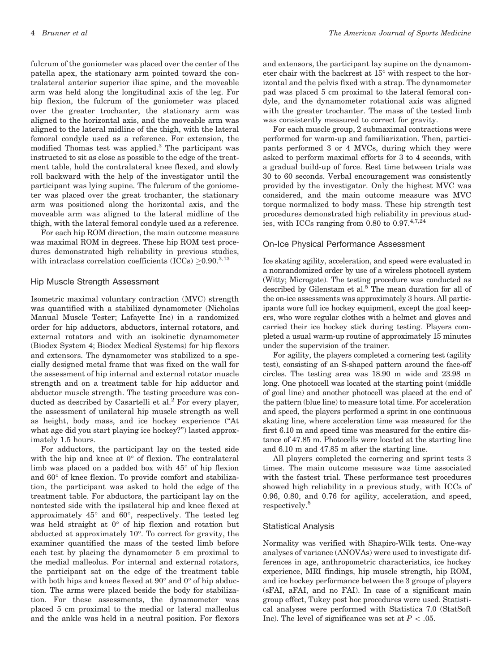fulcrum of the goniometer was placed over the center of the patella apex, the stationary arm pointed toward the contralateral anterior superior iliac spine, and the moveable arm was held along the longitudinal axis of the leg. For hip flexion, the fulcrum of the goniometer was placed over the greater trochanter, the stationary arm was aligned to the horizontal axis, and the moveable arm was aligned to the lateral midline of the thigh, with the lateral femoral condyle used as a reference. For extension, the modified Thomas test was applied.<sup>3</sup> The participant was instructed to sit as close as possible to the edge of the treatment table, hold the contralateral knee flexed, and slowly roll backward with the help of the investigator until the participant was lying supine. The fulcrum of the goniometer was placed over the great trochanter, the stationary arm was positioned along the horizontal axis, and the moveable arm was aligned to the lateral midline of the thigh, with the lateral femoral condyle used as a reference.

For each hip ROM direction, the main outcome measure was maximal ROM in degrees. These hip ROM test procedures demonstrated high reliability in previous studies, with intraclass correlation coefficients (ICCs)  $\geq$  0.90.<sup>3,13</sup>

### Hip Muscle Strength Assessment

Isometric maximal voluntary contraction (MVC) strength was quantified with a stabilized dynamometer (Nicholas Manual Muscle Tester; Lafayette Inc) in a randomized order for hip adductors, abductors, internal rotators, and external rotators and with an isokinetic dynamometer (Biodex System 4; Biodex Medical Systems) for hip flexors and extensors. The dynamometer was stabilized to a specially designed metal frame that was fixed on the wall for the assessment of hip internal and external rotator muscle strength and on a treatment table for hip adductor and abductor muscle strength. The testing procedure was conducted as described by Casartelli et al.<sup>2</sup> For every player, the assessment of unilateral hip muscle strength as well as height, body mass, and ice hockey experience (''At what age did you start playing ice hockey?'') lasted approximately 1.5 hours.

For adductors, the participant lay on the tested side with the hip and knee at  $0^{\circ}$  of flexion. The contralateral limb was placed on a padded box with  $45^{\circ}$  of hip flexion and  $60^{\circ}$  of knee flexion. To provide comfort and stabilization, the participant was asked to hold the edge of the treatment table. For abductors, the participant lay on the nontested side with the ipsilateral hip and knee flexed at approximately  $45^{\circ}$  and  $60^{\circ}$ , respectively. The tested leg was held straight at  $0^{\circ}$  of hip flexion and rotation but abducted at approximately  $10^{\circ}$ . To correct for gravity, the examiner quantified the mass of the tested limb before each test by placing the dynamometer 5 cm proximal to the medial malleolus. For internal and external rotators, the participant sat on the edge of the treatment table with both hips and knees flexed at  $90^{\circ}$  and  $0^{\circ}$  of hip abduction. The arms were placed beside the body for stabilization. For these assessments, the dynamometer was placed 5 cm proximal to the medial or lateral malleolus and the ankle was held in a neutral position. For flexors

and extensors, the participant lay supine on the dynamometer chair with the backrest at 15° with respect to the horizontal and the pelvis fixed with a strap. The dynamometer pad was placed 5 cm proximal to the lateral femoral condyle, and the dynamometer rotational axis was aligned with the greater trochanter. The mass of the tested limb was consistently measured to correct for gravity.

For each muscle group, 2 submaximal contractions were performed for warm-up and familiarization. Then, participants performed 3 or 4 MVCs, during which they were asked to perform maximal efforts for 3 to 4 seconds, with a gradual build-up of force. Rest time between trials was 30 to 60 seconds. Verbal encouragement was consistently provided by the investigator. Only the highest MVC was considered, and the main outcome measure was MVC torque normalized to body mass. These hip strength test procedures demonstrated high reliability in previous studies, with ICCs ranging from 0.80 to  $0.97 \cdot 4.724$ 

### On-Ice Physical Performance Assessment

Ice skating agility, acceleration, and speed were evaluated in a nonrandomized order by use of a wireless photocell system (Witty; Microgate). The testing procedure was conducted as described by Gilenstam et al.<sup>5</sup> The mean duration for all of the on-ice assessments was approximately 3 hours. All participants wore full ice hockey equipment, except the goal keepers, who wore regular clothes with a helmet and gloves and carried their ice hockey stick during testing. Players completed a usual warm-up routine of approximately 15 minutes under the supervision of the trainer.

For agility, the players completed a cornering test (agility test), consisting of an S-shaped pattern around the face-off circles. The testing area was 18.90 m wide and 23.98 m long. One photocell was located at the starting point (middle of goal line) and another photocell was placed at the end of the pattern (blue line) to measure total time. For acceleration and speed, the players performed a sprint in one continuous skating line, where acceleration time was measured for the first 6.10 m and speed time was measured for the entire distance of 47.85 m. Photocells were located at the starting line and 6.10 m and 47.85 m after the starting line.

All players completed the cornering and sprint tests 3 times. The main outcome measure was time associated with the fastest trial. These performance test procedures showed high reliability in a previous study, with ICCs of 0.96, 0.80, and 0.76 for agility, acceleration, and speed, respectively.<sup>5</sup>

#### Statistical Analysis

Normality was verified with Shapiro-Wilk tests. One-way analyses of variance (ANOVAs) were used to investigate differences in age, anthropometric characteristics, ice hockey experience, MRI findings, hip muscle strength, hip ROM, and ice hockey performance between the 3 groups of players (sFAI, aFAI, and no FAI). In case of a significant main group effect, Tukey post hoc procedures were used. Statistical analyses were performed with Statistica 7.0 (StatSoft Inc). The level of significance was set at  $P < .05$ .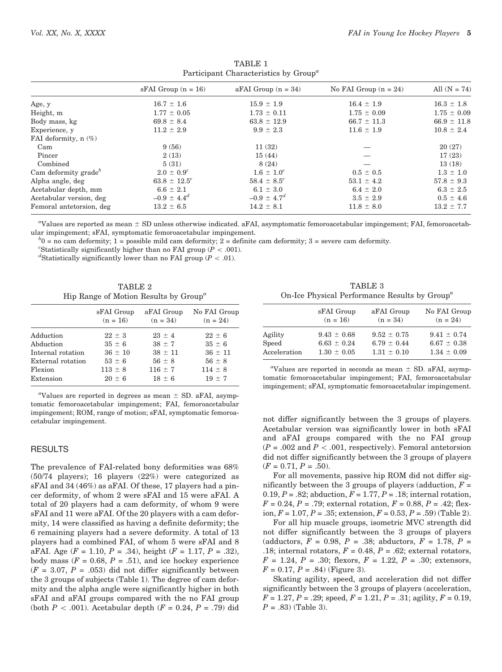| $\frac{1}{2}$ are dependent contracted by $\frac{1}{2}$ control by $\frac{1}{2}$ |                         |                         |                         |                 |  |  |
|----------------------------------------------------------------------------------|-------------------------|-------------------------|-------------------------|-----------------|--|--|
|                                                                                  | $sFAI$ Group $(n = 16)$ | $aFAI$ Group $(n = 34)$ | No FAI Group $(n = 24)$ | All $(N = 74)$  |  |  |
| Age, y                                                                           | $16.7 \pm 1.6$          | $15.9 \pm 1.9$          | $16.4 \pm 1.9$          | $16.3 \pm 1.8$  |  |  |
| Height, m                                                                        | $1.77 \pm 0.05$         | $1.73 \pm 0.11$         | $1.75 \pm 0.09$         | $1.75 \pm 0.09$ |  |  |
| Body mass, kg                                                                    | $69.8 \pm 8.4$          | $63.8 \pm 12.9$         | $66.7 \pm 11.3$         | $66.9 \pm 11.8$ |  |  |
| Experience, y                                                                    | $11.2 \pm 2.9$          | $9.9 \pm 2.3$           | $11.6 \pm 1.9$          | $10.8 \pm 2.4$  |  |  |
| FAI deformity, $n$ $(\%)$                                                        |                         |                         |                         |                 |  |  |
| Cam                                                                              | 9(56)                   | 11(32)                  |                         | 20(27)          |  |  |
| Pincer                                                                           | 2(13)                   | 15(44)                  |                         | 17(23)          |  |  |
| Combined                                                                         | 5(31)                   | 8(24)                   |                         | 13(18)          |  |  |
| Cam deformity grade <sup>b</sup>                                                 | $2.0 \pm 0.9^c$         | $1.6 \pm 1.0^c$         | $0.5 \pm 0.5$           | $1.3 \pm 1.0$   |  |  |
| Alpha angle, deg                                                                 | $63.8 \pm 12.5^c$       | $58.4 \pm 8.5^c$        | $53.1 \pm 4.2$          | $57.8 \pm 9.3$  |  |  |
| Acetabular depth, mm                                                             | $6.6 \pm 2.1$           | $6.1 \pm 3.0$           | $6.4 \pm 2.0$           | $6.3 \pm 2.5$   |  |  |
| Acetabular version, deg                                                          | $-0.9 \pm 4.4^{d}$      | $-0.9 \pm 4.7^{d}$      | $3.5 \pm 2.9$           | $0.5 \pm 4.6$   |  |  |
| Femoral antetorsion, deg                                                         | $13.2 \pm 6.5$          | $14.2 \pm 8.1$          | $11.8 \pm 8.0$          | $13.2 \pm 7.7$  |  |  |

TABLE 1 Participant Characteristics by  $Group^a$ 

"Values are reported as mean  $\pm$  SD unless otherwise indicated. aFAI, asymptomatic femoroacetabular impingement; FAI, femoroacetabular impingement; sFAI, symptomatic femoroacetabular impingement. <sup>b</sup>

 $^{b}$ 0 = no cam deformity; 1 = possible mild cam deformity; 2 = definite cam deformity; 3 = severe cam deformity.

"Statistically significantly higher than no FAI group ( $P < .001$ ).

<sup>d</sup>Statistically significantly lower than no FAI group ( $P < .01$ ).

| TABLE 2                                  |  |  |  |  |
|------------------------------------------|--|--|--|--|
| Hip Range of Motion Results by $Group^a$ |  |  |  |  |

|                   | sFAI Group<br>$(n = 16)$ | aFAI Group<br>$(n = 34)$ | No FAI Group<br>$(n = 24)$ |
|-------------------|--------------------------|--------------------------|----------------------------|
| Adduction         | $22 \pm 3$               | $23 \pm 4$               | $22 \pm 6$                 |
| Abduction         | $35 \pm 6$               | $38 \pm 7$               | $35 \pm 6$                 |
| Internal rotation | $36 \pm 10$              | $38 \pm 11$              | $36 \pm 11$                |
| External rotation | $53 \pm 6$               | $56 \pm 8$               | $56 \pm 8$                 |
| Flexion           | $113 \pm 8$              | $116 \pm 7$              | $114 \pm 8$                |
| Extension         | $20 + 6$                 | $18 + 6$                 | $19 + 7$                   |

"Values are reported in degrees as mean  $\pm$  SD. aFAI, asymptomatic femoroacetabular impingement; FAI, femoroacetabular impingement; ROM, range of motion; sFAI, symptomatic femoroacetabular impingement.

# RESULTS

The prevalence of FAI-related bony deformities was 68% (50/74 players); 16 players (22%) were categorized as sFAI and 34 (46%) as aFAI. Of these, 17 players had a pincer deformity, of whom 2 were sFAI and 15 were aFAI. A total of 20 players had a cam deformity, of whom 9 were sFAI and 11 were aFAI. Of the 20 players with a cam deformity, 14 were classified as having a definite deformity; the 6 remaining players had a severe deformity. A total of 13 players had a combined FAI, of whom 5 were sFAI and 8 aFAI. Age  $(F = 1.10, P = .34)$ , height  $(F = 1.17, P = .32)$ , body mass ( $F = 0.68$ ,  $P = .51$ ), and ice hockey experience  $(F = 3.07, P = .053)$  did not differ significantly between the 3 groups of subjects (Table 1). The degree of cam deformity and the alpha angle were significantly higher in both sFAI and aFAI groups compared with the no FAI group (both  $P < .001$ ). Acetabular depth  $(F = 0.24, P = .79)$  did

TABLE 3 On-Ice Physical Performance Results by  $Group<sup>a</sup>$ 

|              | sFAI Group      | aFAI Group      | No FAI Group    |
|--------------|-----------------|-----------------|-----------------|
|              | $(n = 16)$      | $(n = 34)$      | $(n = 24)$      |
| Agility      | $9.43 \pm 0.68$ | $9.52 \pm 0.75$ | $9.41 \pm 0.74$ |
| Speed        | $6.63 \pm 0.24$ | $6.79 \pm 0.44$ | $6.67 \pm 0.38$ |
| Acceleration | $1.30 \pm 0.05$ | $1.31 \pm 0.10$ | $1.34 \pm 0.09$ |

"Values are reported in seconds as mean  $\pm$  SD. aFAI, asymptomatic femoroacetabular impingement; FAI, femoroacetabular impingement; sFAI, symptomatic femoroacetabular impingement.

not differ significantly between the 3 groups of players. Acetabular version was significantly lower in both sFAI and aFAI groups compared with the no FAI group  $(P = .002$  and  $P < .001$ , respectively). Femoral antetorsion did not differ significantly between the 3 groups of players  $(F = 0.71, P = .50).$ 

For all movements, passive hip ROM did not differ significantly between the 3 groups of players (adduction,  $F =$ 0.19,  $P = .82$ ; abduction,  $F = 1.77$ ,  $P = .18$ ; internal rotation,  $F = 0.24, P = .79$ ; external rotation,  $F = 0.88, P = .42$ ; flexion,  $F = 1.07$ ,  $P = .35$ ; extension,  $F = 0.53$ ,  $P = .59$ ) (Table 2).

For all hip muscle groups, isometric MVC strength did not differ significantly between the 3 groups of players (adductors,  $F = 0.98$ ,  $P = .38$ ; abductors,  $F = 1.78$ ,  $P =$ .18; internal rotators,  $F = 0.48$ ,  $P = .62$ ; external rotators,  $F = 1.24, P = .30;$  flexors,  $F = 1.22, P = .30;$  extensors,  $F = 0.17, P = .84$ ) (Figure 3).

Skating agility, speed, and acceleration did not differ significantly between the 3 groups of players (acceleration,  $F = 1.27, P = .29$ ; speed,  $F = 1.21, P = .31$ ; agility,  $F = 0.19$ ,  $P = .83$ ) (Table 3).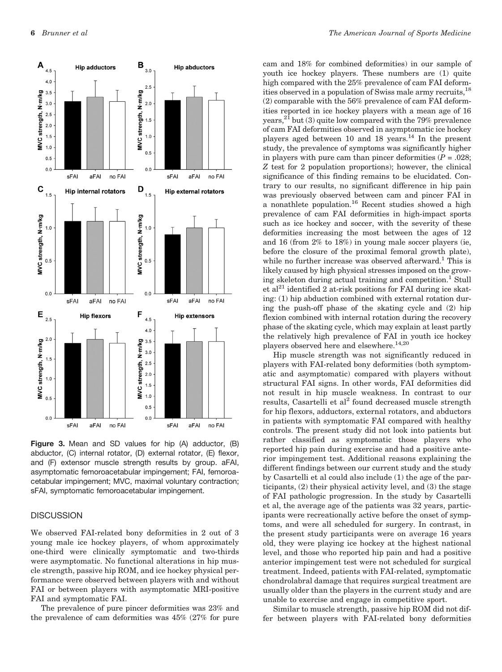

Figure 3. Mean and SD values for hip (A) adductor, (B) abductor, (C) internal rotator, (D) external rotator, (E) flexor, and (F) extensor muscle strength results by group. aFAI, asymptomatic femoroacetabular impingement; FAI, femoroacetabular impingement; MVC, maximal voluntary contraction; sFAI, symptomatic femoroacetabular impingement.

# **DISCUSSION**

We observed FAI-related bony deformities in 2 out of 3 young male ice hockey players, of whom approximately one-third were clinically symptomatic and two-thirds were asymptomatic. No functional alterations in hip muscle strength, passive hip ROM, and ice hockey physical performance were observed between players with and without FAI or between players with asymptomatic MRI-positive FAI and symptomatic FAI.

The prevalence of pure pincer deformities was 23% and the prevalence of cam deformities was 45% (27% for pure

cam and 18% for combined deformities) in our sample of youth ice hockey players. These numbers are (1) quite high compared with the 25% prevalence of cam FAI deformities observed in a population of Swiss male army recruits, <sup>18</sup> (2) comparable with the 56% prevalence of cam FAI deformities reported in ice hockey players with a mean age of 16 years,  $2^{21}$  but (3) quite low compared with the 79% prevalence of cam FAI deformities observed in asymptomatic ice hockey players aged between 10 and 18 years.<sup>14</sup> In the present study, the prevalence of symptoms was significantly higher in players with pure cam than pincer deformities  $(P = .028)$ ; Z test for 2 population proportions); however, the clinical significance of this finding remains to be elucidated. Contrary to our results, no significant difference in hip pain was previously observed between cam and pincer FAI in a nonathlete population.<sup>16</sup> Recent studies showed a high prevalence of cam FAI deformities in high-impact sports such as ice hockey and soccer, with the severity of these deformities increasing the most between the ages of 12 and 16 (from 2% to 18%) in young male soccer players (ie, before the closure of the proximal femoral growth plate), while no further increase was observed afterward.<sup>1</sup> This is likely caused by high physical stresses imposed on the growing skeleton during actual training and competition.<sup>1</sup> Stull et al<sup>21</sup> identified 2 at-risk positions for FAI during ice skating: (1) hip abduction combined with external rotation during the push-off phase of the skating cycle and (2) hip flexion combined with internal rotation during the recovery phase of the skating cycle, which may explain at least partly the relatively high prevalence of FAI in youth ice hockey players observed here and elsewhere.  $^{14,20}$ 

Hip muscle strength was not significantly reduced in players with FAI-related bony deformities (both symptomatic and asymptomatic) compared with players without structural FAI signs. In other words, FAI deformities did not result in hip muscle weakness. In contrast to our results, Casartelli et al<sup>2</sup> found decreased muscle strength for hip flexors, adductors, external rotators, and abductors in patients with symptomatic FAI compared with healthy controls. The present study did not look into patients but rather classified as symptomatic those players who reported hip pain during exercise and had a positive anterior impingement test. Additional reasons explaining the different findings between our current study and the study by Casartelli et al could also include (1) the age of the participants, (2) their physical activity level, and (3) the stage of FAI pathologic progression. In the study by Casartelli et al, the average age of the patients was 32 years, participants were recreationally active before the onset of symptoms, and were all scheduled for surgery. In contrast, in the present study participants were on average 16 years old, they were playing ice hockey at the highest national level, and those who reported hip pain and had a positive anterior impingement test were not scheduled for surgical treatment. Indeed, patients with FAI-related, symptomatic chondrolabral damage that requires surgical treatment are usually older than the players in the current study and are unable to exercise and engage in competitive sport.

Similar to muscle strength, passive hip ROM did not differ between players with FAI-related bony deformities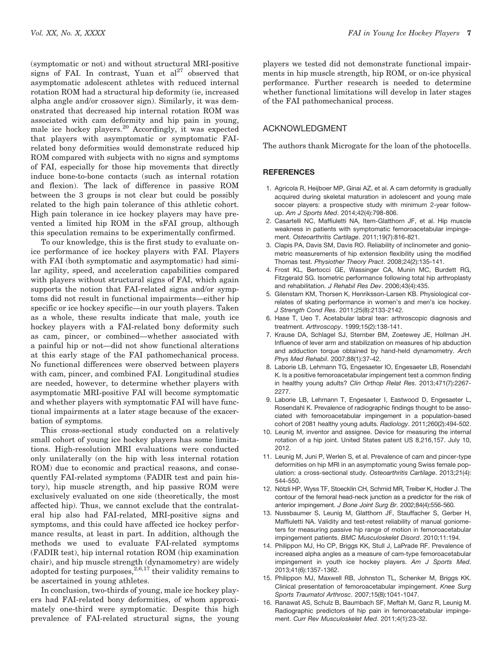(symptomatic or not) and without structural MRI-positive signs of FAI. In contrast, Yuan et  $al^{27}$  observed that asymptomatic adolescent athletes with reduced internal rotation ROM had a structural hip deformity (ie, increased alpha angle and/or crossover sign). Similarly, it was demonstrated that decreased hip internal rotation ROM was associated with cam deformity and hip pain in young, male ice hockey players.<sup>20</sup> Accordingly, it was expected that players with asymptomatic or symptomatic FAIrelated bony deformities would demonstrate reduced hip ROM compared with subjects with no signs and symptoms of FAI, especially for those hip movements that directly induce bone-to-bone contacts (such as internal rotation and flexion). The lack of difference in passive ROM between the 3 groups is not clear but could be possibly related to the high pain tolerance of this athletic cohort. High pain tolerance in ice hockey players may have prevented a limited hip ROM in the sFAI group, although this speculation remains to be experimentally confirmed.

To our knowledge, this is the first study to evaluate onice performance of ice hockey players with FAI. Players with FAI (both symptomatic and asymptomatic) had similar agility, speed, and acceleration capabilities compared with players without structural signs of FAI, which again supports the notion that FAI-related signs and/or symptoms did not result in functional impairments—either hip specific or ice hockey specific—in our youth players. Taken as a whole, these results indicate that male, youth ice hockey players with a FAI-related bony deformity such as cam, pincer, or combined—whether associated with a painful hip or not—did not show functional alterations at this early stage of the FAI pathomechanical process. No functional differences were observed between players with cam, pincer, and combined FAI. Longitudinal studies are needed, however, to determine whether players with asymptomatic MRI-positive FAI will become symptomatic and whether players with symptomatic FAI will have functional impairments at a later stage because of the exacerbation of symptoms.

This cross-sectional study conducted on a relatively small cohort of young ice hockey players has some limitations. High-resolution MRI evaluations were conducted only unilaterally (on the hip with less internal rotation ROM) due to economic and practical reasons, and consequently FAI-related symptoms (FADIR test and pain history), hip muscle strength, and hip passive ROM were exclusively evaluated on one side (theoretically, the most affected hip). Thus, we cannot exclude that the contralateral hip also had FAI-related, MRI-positive signs and symptoms, and this could have affected ice hockey performance results, at least in part. In addition, although the methods we used to evaluate FAI-related symptoms (FADIR test), hip internal rotation ROM (hip examination chair), and hip muscle strength (dynamometry) are widely adopted for testing purposes,  $^{2,6,17}$  their validity remains to be ascertained in young athletes.

In conclusion, two-thirds of young, male ice hockey players had FAI-related bony deformities, of whom approximately one-third were symptomatic. Despite this high prevalence of FAI-related structural signs, the young players we tested did not demonstrate functional impairments in hip muscle strength, hip ROM, or on-ice physical performance. Further research is needed to determine whether functional limitations will develop in later stages of the FAI pathomechanical process.

# ACKNOWLEDGMENT

The authors thank Microgate for the loan of the photocells.

### **REFERENCES**

- 1. Agricola R, Heijboer MP, Ginai AZ, et al. A cam deformity is gradually acquired during skeletal maturation in adolescent and young male soccer players: a prospective study with minimum 2-year followup. *Am J Sports Med*. 2014;42(4):798-806.
- 2. Casartelli NC, Maffiuletti NA, Item-Glatthorn JF, et al. Hip muscle weakness in patients with symptomatic femoroacetabular impingement. *Osteoarthritis Cartilage*. 2011;19(7):816-821.
- 3. Clapis PA, Davis SM, Davis RO. Reliability of inclinometer and goniometric measurements of hip extension flexibility using the modified Thomas test. *Physiother Theory Pract*. 2008;24(2):135-141.
- 4. Frost KL, Bertocci GE, Wassinger CA, Munin MC, Burdett RG, Fitzgerald SG. Isometric performance following total hip arthroplasty and rehabilitation. *J Rehabil Res Dev*. 2006;43(4):435.
- 5. Gilenstam KM, Thorsen K, Henriksson-Larsen KB. Physiological correlates of skating performance in women's and men's ice hockey. *J Strength Cond Res*. 2011;25(8):2133-2142.
- 6. Hase T, Ueo T. Acetabular labral tear: arthroscopic diagnosis and treatment. *Arthroscopy*. 1999;15(2):138-141.
- 7. Krause DA, Schlagel SJ, Stember BM, Zoetewey JE, Hollman JH. Influence of lever arm and stabilization on measures of hip abduction and adduction torque obtained by hand-held dynamometry. *Arch Phys Med Rehabil*. 2007;88(1):37-42.
- 8. Laborie LB, Lehmann TG, Engesaeter IO, Engesaeter LB, Rosendahl K. Is a positive femoroacetabular impingement test a common finding in healthy young adults? *Clin Orthop Relat Res*. 2013;471(7):2267- 2277.
- 9. Laborie LB, Lehmann T, Engesaeter I, Eastwood D, Engesaeter L, Rosendahl K. Prevalence of radiographic findings thought to be associated with femoroacetabular impingement in a population-based cohort of 2081 healthy young adults. *Radiology*. 2011;260(2):494-502.
- 10. Leunig M, inventor and assignee. Device for measuring the internal rotation of a hip joint. United States patent US 8,216,157. July 10, 2012.
- 11. Leunig M, Juni P, Werlen S, et al. Prevalence of cam and pincer-type deformities on hip MRI in an asymptomatic young Swiss female population: a cross-sectional study. *Osteoarthritis Cartilage*. 2013;21(4): 544-550.
- 12. Nötzli HP, Wyss TF, Stoecklin CH, Schmid MR, Treiber K, Hodler J. The contour of the femoral head-neck junction as a predictor for the risk of anterior impingement. *J Bone Joint Surg Br*. 2002;84(4):556-560.
- 13. Nussbaumer S, Leunig M, Glatthorn JF, Stauffacher S, Gerber H, Maffiuletti NA. Validity and test-retest reliability of manual goniometers for measuring passive hip range of motion in femoroacetabular impingement patients. *BMC Musculoskelet Disord*. 2010;11:194.
- 14. Philippon MJ, Ho CP, Briggs KK, Stull J, LaPrade RF. Prevalence of increased alpha angles as a measure of cam-type femoroacetabular impingement in youth ice hockey players. *Am J Sports Med*. 2013;41(6):1357-1362.
- 15. Philippon MJ, Maxwell RB, Johnston TL, Schenker M, Briggs KK. Clinical presentation of femoroacetabular impingement. *Knee Surg Sports Traumatol Arthrosc*. 2007;15(8):1041-1047.
- 16. Ranawat AS, Schulz B, Baumbach SF, Meftah M, Ganz R, Leunig M. Radiographic predictors of hip pain in femoroacetabular impingement. *Curr Rev Musculoskelet Med*. 2011;4(1):23-32.